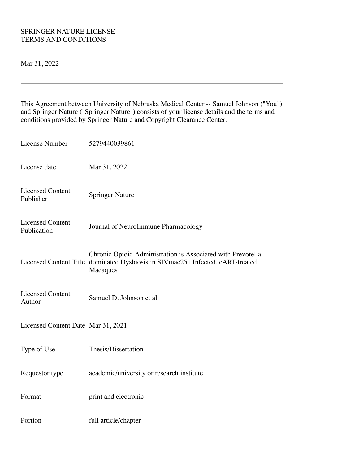### SPRINGER NATURE LICENSE TERMS AND CONDITIONS

Mar 31, 2022

This Agreement between University of Nebraska Medical Center -- Samuel Johnson ("You") and Springer Nature ("Springer Nature") consists of your license details and the terms and conditions provided by Springer Nature and Copyright Clearance Center.

| License Number                         | 5279440039861                                                                                                                                              |
|----------------------------------------|------------------------------------------------------------------------------------------------------------------------------------------------------------|
| License date                           | Mar 31, 2022                                                                                                                                               |
| <b>Licensed Content</b><br>Publisher   | <b>Springer Nature</b>                                                                                                                                     |
| <b>Licensed Content</b><br>Publication | Journal of NeuroImmune Pharmacology                                                                                                                        |
|                                        | Chronic Opioid Administration is Associated with Prevotella-<br>Licensed Content Title dominated Dysbiosis in SIVmac251 Infected, cART-treated<br>Macaques |
| <b>Licensed Content</b><br>Author      | Samuel D. Johnson et al                                                                                                                                    |
| Licensed Content Date Mar 31, 2021     |                                                                                                                                                            |
| Type of Use                            | Thesis/Dissertation                                                                                                                                        |
| Requestor type                         | academic/university or research institute                                                                                                                  |
| Format                                 | print and electronic                                                                                                                                       |
| Portion                                | full article/chapter                                                                                                                                       |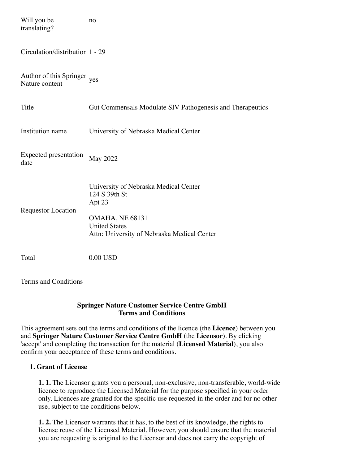| Will you be<br>translating?               | no                                                                                                                                                                |
|-------------------------------------------|-------------------------------------------------------------------------------------------------------------------------------------------------------------------|
| Circulation/distribution 1 - 29           |                                                                                                                                                                   |
| Author of this Springer<br>Nature content | yes                                                                                                                                                               |
| Title                                     | Gut Commensals Modulate SIV Pathogenesis and Therapeutics                                                                                                         |
| Institution name                          | University of Nebraska Medical Center                                                                                                                             |
| Expected presentation<br>date             | <b>May 2022</b>                                                                                                                                                   |
| <b>Requestor Location</b>                 | University of Nebraska Medical Center<br>124 S 39th St<br>Apt 23<br><b>OMAHA, NE 68131</b><br><b>United States</b><br>Attn: University of Nebraska Medical Center |
| Total                                     | 0.00 USD                                                                                                                                                          |

Terms and Conditions

### **Springer Nature Customer Service Centre GmbH Terms and Conditions**

This agreement sets out the terms and conditions of the licence (the **Licence**) between you and **Springer Nature Customer Service Centre GmbH** (the **Licensor**). By clicking 'accept' and completing the transaction for the material (**Licensed Material**), you also confirm your acceptance of these terms and conditions.

# **1. Grant of License**

**1. 1.** The Licensor grants you a personal, non-exclusive, non-transferable, world-wide licence to reproduce the Licensed Material for the purpose specified in your order only. Licences are granted for the specific use requested in the order and for no other use, subject to the conditions below.

**1. 2.** The Licensor warrants that it has, to the best of its knowledge, the rights to license reuse of the Licensed Material. However, you should ensure that the material you are requesting is original to the Licensor and does not carry the copyright of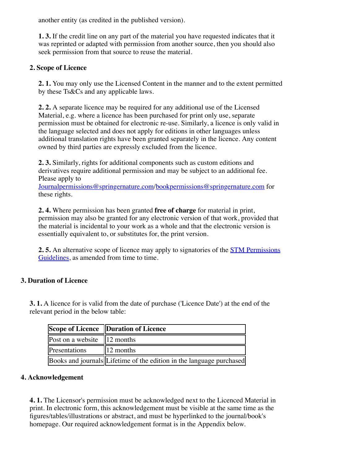another entity (as credited in the published version).

**1. 3.** If the credit line on any part of the material you have requested indicates that it was reprinted or adapted with permission from another source, then you should also seek permission from that source to reuse the material.

### **2. Scope of Licence**

**2. 1.** You may only use the Licensed Content in the manner and to the extent permitted by these Ts&Cs and any applicable laws.

**2. 2.** A separate licence may be required for any additional use of the Licensed Material, e.g. where a licence has been purchased for print only use, separate permission must be obtained for electronic re-use. Similarly, a licence is only valid in the language selected and does not apply for editions in other languages unless additional translation rights have been granted separately in the licence. Any content owned by third parties are expressly excluded from the licence.

**2. 3.** Similarly, rights for additional components such as custom editions and derivatives require additional permission and may be subject to an additional fee. Please apply to

[Journalpermissions@springernature.com](mailto:Journalpermissions@springernature.com)/[bookpermissions@springernature.com](mailto:bookpermissions@springernature.com) for these rights.

**2. 4.** Where permission has been granted **free of charge** for material in print, permission may also be granted for any electronic version of that work, provided that the material is incidental to your work as a whole and that the electronic version is essentially equivalent to, or substitutes for, the print version.

**2. 5.** [An alternative scope of licence may apply to signatories of the STM Permissions](http://www.stm-assoc.org/intellectual-property/permissions/permissions-guidelines/) Guidelines, as amended from time to time.

# **3. Duration of Licence**

**3. 1.** A licence for is valid from the date of purchase ('Licence Date') at the end of the relevant period in the below table:

|                                 | Scope of Licence Duration of Licence                                 |
|---------------------------------|----------------------------------------------------------------------|
| Post on a website $\ 12$ months |                                                                      |
| Presentations                   | $\parallel$ 12 months                                                |
|                                 | Books and journals Lifetime of the edition in the language purchased |

#### **4. Acknowledgement**

**4. 1.** The Licensor's permission must be acknowledged next to the Licenced Material in print. In electronic form, this acknowledgement must be visible at the same time as the figures/tables/illustrations or abstract, and must be hyperlinked to the journal/book's homepage. Our required acknowledgement format is in the Appendix below.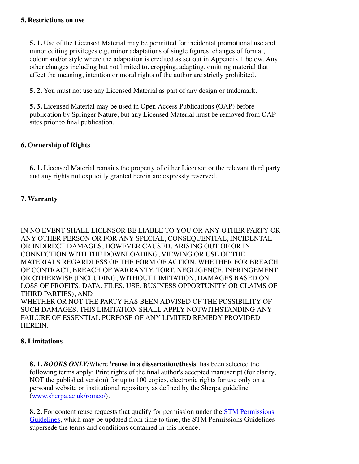**5. 1.** Use of the Licensed Material may be permitted for incidental promotional use and minor editing privileges e.g. minor adaptations of single figures, changes of format, colour and/or style where the adaptation is credited as set out in Appendix 1 below. Any other changes including but not limited to, cropping, adapting, omitting material that affect the meaning, intention or moral rights of the author are strictly prohibited.

**5. 2.** You must not use any Licensed Material as part of any design or trademark.

**5. 3.** Licensed Material may be used in Open Access Publications (OAP) before publication by Springer Nature, but any Licensed Material must be removed from OAP sites prior to final publication.

# **6. Ownership of Rights**

**6. 1.** Licensed Material remains the property of either Licensor or the relevant third party and any rights not explicitly granted herein are expressly reserved.

# **7. Warranty**

IN NO EVENT SHALL LICENSOR BE LIABLE TO YOU OR ANY OTHER PARTY OR ANY OTHER PERSON OR FOR ANY SPECIAL, CONSEQUENTIAL, INCIDENTAL OR INDIRECT DAMAGES, HOWEVER CAUSED, ARISING OUT OF OR IN CONNECTION WITH THE DOWNLOADING, VIEWING OR USE OF THE MATERIALS REGARDLESS OF THE FORM OF ACTION, WHETHER FOR BREACH OF CONTRACT, BREACH OF WARRANTY, TORT, NEGLIGENCE, INFRINGEMENT OR OTHERWISE (INCLUDING, WITHOUT LIMITATION, DAMAGES BASED ON LOSS OF PROFITS, DATA, FILES, USE, BUSINESS OPPORTUNITY OR CLAIMS OF THIRD PARTIES), AND WHETHER OR NOT THE PARTY HAS BEEN ADVISED OF THE POSSIBILITY OF SUCH DAMAGES. THIS LIMITATION SHALL APPLY NOTWITHSTANDING ANY FAILURE OF ESSENTIAL PURPOSE OF ANY LIMITED REMEDY PROVIDED HEREIN.

#### **8. Limitations**

**8. 1.** *BOOKS ONLY:*Where **'reuse in a dissertation/thesis'** has been selected the following terms apply: Print rights of the final author's accepted manuscript (for clarity, NOT the published version) for up to 100 copies, electronic rights for use only on a personal website or institutional repository as defined by the Sherpa guideline [\(www.sherpa.ac.uk/romeo/](http://www.sherpa.ac.uk/romeo/)).

**8. 2.** For content reuse requests that qualify for permission under the **STM Permissions** [Guidelines, which may be updated from time to time, the STM Permissions Guidelines](https://www.stm-assoc.org/2020_09_30_STM_Permission_Guidelines_2020.pdf) supersede the terms and conditions contained in this licence.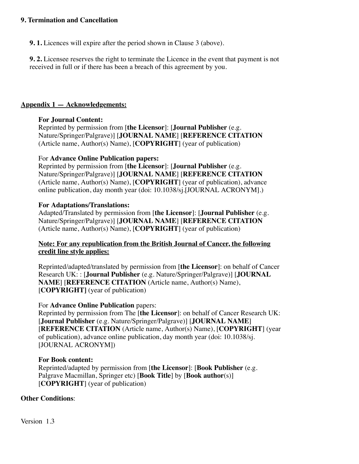### **9. Termination and Cancellation**

**9. 1.** Licences will expire after the period shown in Clause 3 (above).

**9. 2.** Licensee reserves the right to terminate the Licence in the event that payment is not received in full or if there has been a breach of this agreement by you.

#### **Appendix 1 — Acknowledgements:**

### **For Journal Content:**

Reprinted by permission from [**the Licensor**]: [**Journal Publisher** (e.g. Nature/Springer/Palgrave)] [**JOURNAL NAME**] [**REFERENCE CITATION** (Article name, Author(s) Name), [**COPYRIGHT**] (year of publication)

### For **Advance Online Publication papers:**

Reprinted by permission from [**the Licensor**]: [**Journal Publisher** (e.g. Nature/Springer/Palgrave)] [**JOURNAL NAME**] [**REFERENCE CITATION** (Article name, Author(s) Name), [**COPYRIGHT**] (year of publication), advance online publication, day month year (doi: 10.1038/sj.[JOURNAL ACRONYM].)

#### **For Adaptations/Translations:**

Adapted/Translated by permission from [**the Licensor**]: [**Journal Publisher** (e.g. Nature/Springer/Palgrave)] [**JOURNAL NAME**] [**REFERENCE CITATION** (Article name, Author(s) Name), [**COPYRIGHT**] (year of publication)

### **Note: For any republication from the British Journal of Cancer, the following credit line style applies:**

Reprinted/adapted/translated by permission from [**the Licensor**]: on behalf of Cancer Research UK: : [**Journal Publisher** (e.g. Nature/Springer/Palgrave)] [**JOURNAL NAME**] [**REFERENCE CITATION** (Article name, Author(s) Name), [**COPYRIGHT]** (year of publication)

#### For **Advance Online Publication** papers:

Reprinted by permission from The [**the Licensor**]: on behalf of Cancer Research UK: [**Journal Publisher** (e.g. Nature/Springer/Palgrave)] [**JOURNAL NAME**] [**REFERENCE CITATION** (Article name, Author(s) Name), [**COPYRIGHT**] (year of publication), advance online publication, day month year (doi: 10.1038/sj. [JOURNAL ACRONYM])

#### **For Book content:**

Reprinted/adapted by permission from [**the Licensor**]: [**Book Publisher** (e.g. Palgrave Macmillan, Springer etc) [**Book Title**] by [**Book author**(s)] [**COPYRIGHT**] (year of publication)

# **Other Conditions**:

Version 1.3